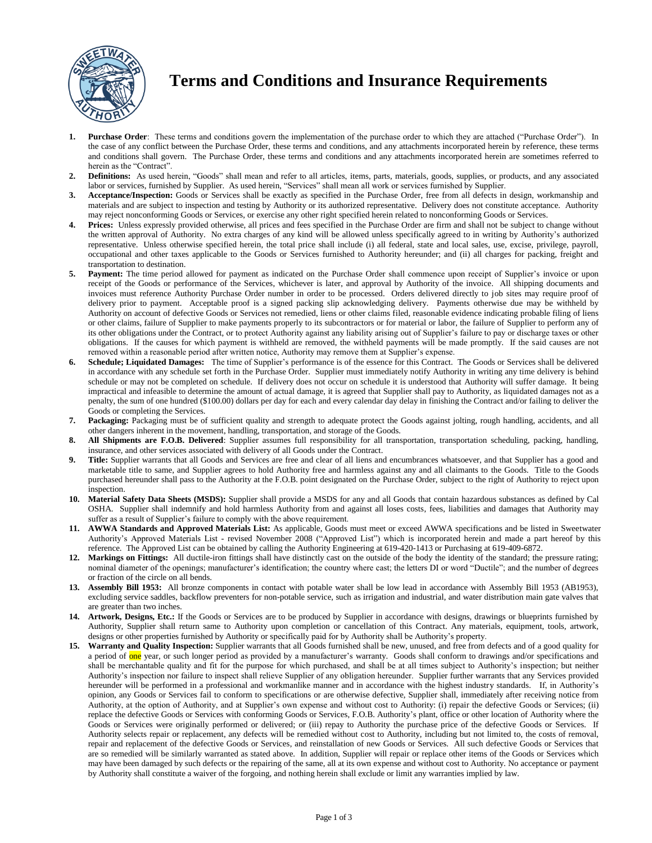

# **Terms and Conditions and Insurance Requirements**

- **1. Purchase Order**: These terms and conditions govern the implementation of the purchase order to which they are attached ("Purchase Order"). In the case of any conflict between the Purchase Order, these terms and conditions, and any attachments incorporated herein by reference, these terms and conditions shall govern. The Purchase Order, these terms and conditions and any attachments incorporated herein are sometimes referred to herein as the "Contract".
- **2. Definitions:** As used herein, "Goods" shall mean and refer to all articles, items, parts, materials, goods, supplies, or products, and any associated labor or services, furnished by Supplier. As used herein, "Services" shall mean all work or services furnished by Supplier.
- **3. Acceptance/Inspection:** Goods or Services shall be exactly as specified in the Purchase Order, free from all defects in design, workmanship and materials and are subject to inspection and testing by Authority or its authorized representative. Delivery does not constitute acceptance. Authority may reject nonconforming Goods or Services, or exercise any other right specified herein related to nonconforming Goods or Services.
- **4. Prices:** Unless expressly provided otherwise, all prices and fees specified in the Purchase Order are firm and shall not be subject to change without the written approval of Authority. No extra charges of any kind will be allowed unless specifically agreed to in writing by Authority's authorized representative. Unless otherwise specified herein, the total price shall include (i) all federal, state and local sales, use, excise, privilege, payroll, occupational and other taxes applicable to the Goods or Services furnished to Authority hereunder; and (ii) all charges for packing, freight and transportation to destination.
- **5. Payment:** The time period allowed for payment as indicated on the Purchase Order shall commence upon receipt of Supplier's invoice or upon receipt of the Goods or performance of the Services, whichever is later, and approval by Authority of the invoice. All shipping documents and invoices must reference Authority Purchase Order number in order to be processed. Orders delivered directly to job sites may require proof of delivery prior to payment. Acceptable proof is a signed packing slip acknowledging delivery. Payments otherwise due may be withheld by Authority on account of defective Goods or Services not remedied, liens or other claims filed, reasonable evidence indicating probable filing of liens or other claims, failure of Supplier to make payments properly to its subcontractors or for material or labor, the failure of Supplier to perform any of its other obligations under the Contract, or to protect Authority against any liability arising out of Supplier's failure to pay or discharge taxes or other obligations. If the causes for which payment is withheld are removed, the withheld payments will be made promptly. If the said causes are not removed within a reasonable period after written notice, Authority may remove them at Supplier's expense.
- **6. Schedule; Liquidated Damages:** The time of Supplier's performance is of the essence for this Contract. The Goods or Services shall be delivered in accordance with any schedule set forth in the Purchase Order. Supplier must immediately notify Authority in writing any time delivery is behind schedule or may not be completed on schedule. If delivery does not occur on schedule it is understood that Authority will suffer damage. It being impractical and infeasible to determine the amount of actual damage, it is agreed that Supplier shall pay to Authority, as liquidated damages not as a penalty, the sum of one hundred (\$100.00) dollars per day for each and every calendar day delay in finishing the Contract and/or failing to deliver the Goods or completing the Services.
- Packaging: Packaging must be of sufficient quality and strength to adequate protect the Goods against jolting, rough handling, accidents, and all other dangers inherent in the movement, handling, transportation, and storage of the Goods.
- **8. All Shipments are F.O.B. Delivered**: Supplier assumes full responsibility for all transportation, transportation scheduling, packing, handling, insurance, and other services associated with delivery of all Goods under the Contract.
- **9. Title:** Supplier warrants that all Goods and Services are free and clear of all liens and encumbrances whatsoever, and that Supplier has a good and marketable title to same, and Supplier agrees to hold Authority free and harmless against any and all claimants to the Goods. Title to the Goods purchased hereunder shall pass to the Authority at the F.O.B. point designated on the Purchase Order, subject to the right of Authority to reject upon inspection.
- **10. Material Safety Data Sheets (MSDS):** Supplier shall provide a MSDS for any and all Goods that contain hazardous substances as defined by Cal OSHA. Supplier shall indemnify and hold harmless Authority from and against all loses costs, fees, liabilities and damages that Authority may suffer as a result of Supplier's failure to comply with the above requirement.
- **11. AWWA Standards and Approved Materials List:** As applicable, Goods must meet or exceed AWWA specifications and be listed in Sweetwater Authority's Approved Materials List - revised November 2008 ("Approved List") which is incorporated herein and made a part hereof by this reference. The Approved List can be obtained by calling the Authority Engineering at 619-420-1413 or Purchasing at 619-409-6872.
- **12. Markings on Fittings:** All ductile-iron fittings shall have distinctly cast on the outside of the body the identity of the standard; the pressure rating; nominal diameter of the openings; manufacturer's identification; the country where cast; the letters DI or word "Ductile"; and the number of degrees or fraction of the circle on all bends.
- **13. Assembly Bill 1953:** All bronze components in contact with potable water shall be low lead in accordance with Assembly Bill 1953 (AB1953), excluding service saddles, backflow preventers for non-potable service, such as irrigation and industrial, and water distribution main gate valves that are greater than two inches.
- **14. Artwork, Designs, Etc.:** If the Goods or Services are to be produced by Supplier in accordance with designs, drawings or blueprints furnished by Authority, Supplier shall return same to Authority upon completion or cancellation of this Contract. Any materials, equipment, tools, artwork, designs or other properties furnished by Authority or specifically paid for by Authority shall be Authority's property.
- **15. Warranty and Quality Inspection:** Supplier warrants that all Goods furnished shall be new, unused, and free from defects and of a good quality for a period of one year, or such longer period as provided by a manufacturer's warranty. Goods shall conform to drawings and/or specifications and shall be merchantable quality and fit for the purpose for which purchased, and shall be at all times subject to Authority's inspection; but neither Authority's inspection nor failure to inspect shall relieve Supplier of any obligation hereunder. Supplier further warrants that any Services provided hereunder will be performed in a professional and workmanlike manner and in accordance with the highest industry standards. If, in Authority's opinion, any Goods or Services fail to conform to specifications or are otherwise defective, Supplier shall, immediately after receiving notice from Authority, at the option of Authority, and at Supplier's own expense and without cost to Authority: (i) repair the defective Goods or Services; (ii) replace the defective Goods or Services with conforming Goods or Services, F.O.B. Authority's plant, office or other location of Authority where the Goods or Services were originally performed or delivered; or (iii) repay to Authority the purchase price of the defective Goods or Services. If Authority selects repair or replacement, any defects will be remedied without cost to Authority, including but not limited to, the costs of removal, repair and replacement of the defective Goods or Services, and reinstallation of new Goods or Services. All such defective Goods or Services that are so remedied will be similarly warranted as stated above. In addition, Supplier will repair or replace other items of the Goods or Services which may have been damaged by such defects or the repairing of the same, all at its own expense and without cost to Authority. No acceptance or payment by Authority shall constitute a waiver of the forgoing, and nothing herein shall exclude or limit any warranties implied by law.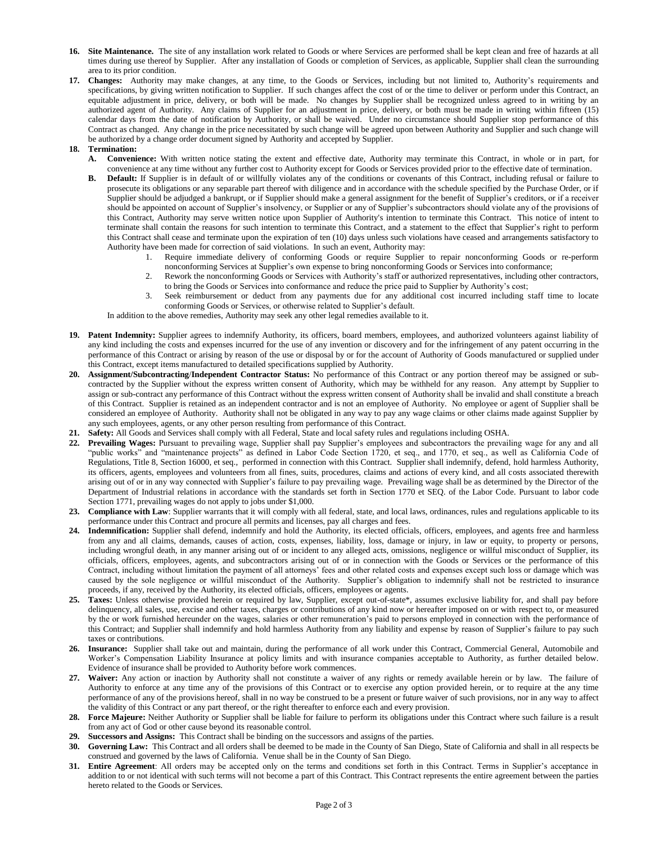- **16. Site Maintenance.** The site of any installation work related to Goods or where Services are performed shall be kept clean and free of hazards at all times during use thereof by Supplier. After any installation of Goods or completion of Services, as applicable, Supplier shall clean the surrounding area to its prior condition.
- **17. Changes:** Authority may make changes, at any time, to the Goods or Services, including but not limited to, Authority's requirements and specifications, by giving written notification to Supplier. If such changes affect the cost of or the time to deliver or perform under this Contract, an equitable adjustment in price, delivery, or both will be made. No changes by Supplier shall be recognized unless agreed to in writing by an authorized agent of Authority. Any claims of Supplier for an adjustment in price, delivery, or both must be made in writing within fifteen (15) calendar days from the date of notification by Authority, or shall be waived. Under no circumstance should Supplier stop performance of this Contract as changed. Any change in the price necessitated by such change will be agreed upon between Authority and Supplier and such change will be authorized by a change order document signed by Authority and accepted by Supplier.

## **18. Termination:**

- **A. Convenience:** With written notice stating the extent and effective date, Authority may terminate this Contract, in whole or in part, for convenience at any time without any further cost to Authority except for Goods or Services provided prior to the effective date of termination.
- **B. Default:** If Supplier is in default of or willfully violates any of the conditions or covenants of this Contract, including refusal or failure to prosecute its obligations or any separable part thereof with diligence and in accordance with the schedule specified by the Purchase Order, or if Supplier should be adjudged a bankrupt, or if Supplier should make a general assignment for the benefit of Supplier's creditors, or if a receiver should be appointed on account of Supplier's insolvency, or Supplier or any of Supplier's subcontractors should violate any of the provisions of this Contract, Authority may serve written notice upon Supplier of Authority's intention to terminate this Contract. This notice of intent to terminate shall contain the reasons for such intention to terminate this Contract, and a statement to the effect that Supplier's right to perform this Contract shall cease and terminate upon the expiration of ten (10) days unless such violations have ceased and arrangements satisfactory to Authority have been made for correction of said violations. In such an event, Authority may:
	- 1. Require immediate delivery of conforming Goods or require Supplier to repair nonconforming Goods or re-perform nonconforming Services at Supplier's own expense to bring nonconforming Goods or Services into conformance;
	- 2. Rework the nonconforming Goods or Services with Authority's staff or authorized representatives, including other contractors,
	- to bring the Goods or Services into conformance and reduce the price paid to Supplier by Authority's cost; 3. Seek reimbursement or deduct from any payments due for any additional cost incurred including staff time to locate

conforming Goods or Services, or otherwise related to Supplier's default. In addition to the above remedies, Authority may seek any other legal remedies available to it.

- 19. Patent Indemnity: Supplier agrees to indemnify Authority, its officers, board members, employees, and authorized volunteers against liability of any kind including the costs and expenses incurred for the use of any invention or discovery and for the infringement of any patent occurring in the performance of this Contract or arising by reason of the use or disposal by or for the account of Authority of Goods manufactured or supplied under this Contract, except items manufactured to detailed specifications supplied by Authority.
- **20. Assignment/Subcontracting**/**Independent Contractor Status:** No performance of this Contract or any portion thereof may be assigned or subcontracted by the Supplier without the express written consent of Authority, which may be withheld for any reason. Any attempt by Supplier to assign or sub-contract any performance of this Contract without the express written consent of Authority shall be invalid and shall constitute a breach of this Contract. Supplier is retained as an independent contractor and is not an employee of Authority. No employee or agent of Supplier shall be considered an employee of Authority. Authority shall not be obligated in any way to pay any wage claims or other claims made against Supplier by any such employees, agents, or any other person resulting from performance of this Contract.
- **21. Safety:** All Goods and Services shall comply with all Federal, State and local safety rules and regulations including OSHA.
- **22. Prevailing Wages:** Pursuant to prevailing wage, Supplier shall pay Supplier's employees and subcontractors the prevailing wage for any and all "public works" and "maintenance projects" as defined in Labor Code Section 1720, et seq., and 1770, et seq., as well as California Code of Regulations, Title 8, Section 16000, et seq., performed in connection with this Contract. Supplier shall indemnify, defend, hold harmless Authority, its officers, agents, employees and volunteers from all fines, suits, procedures, claims and actions of every kind, and all costs associated therewith arising out of or in any way connected with Supplier's failure to pay prevailing wage. Prevailing wage shall be as determined by the Director of the Department of Industrial relations in accordance with the standards set forth in Section 1770 et SEQ. of the Labor Code. Pursuant to labor code Section 1771, prevailing wages do not apply to jobs under \$1,000.
- **23. Compliance with Law**: Supplier warrants that it will comply with all federal, state, and local laws, ordinances, rules and regulations applicable to its performance under this Contract and procure all permits and licenses, pay all charges and fees.
- **24. Indemnification:** Supplier shall defend, indemnify and hold the Authority, its elected officials, officers, employees, and agents free and harmless from any and all claims, demands, causes of action, costs, expenses, liability, loss, damage or injury, in law or equity, to property or persons, including wrongful death, in any manner arising out of or incident to any alleged acts, omissions, negligence or willful misconduct of Supplier, its officials, officers, employees, agents, and subcontractors arising out of or in connection with the Goods or Services or the performance of this Contract, including without limitation the payment of all attorneys' fees and other related costs and expenses except such loss or damage which was caused by the sole negligence or willful misconduct of the Authority. Supplier's obligation to indemnify shall not be restricted to insurance proceeds, if any, received by the Authority, its elected officials, officers, employees or agents.
- **25. Taxes:** Unless otherwise provided herein or required by law, Supplier, except out-of-state\*, assumes exclusive liability for, and shall pay before delinquency, all sales, use, excise and other taxes, charges or contributions of any kind now or hereafter imposed on or with respect to, or measured by the or work furnished hereunder on the wages, salaries or other remuneration's paid to persons employed in connection with the performance of this Contract; and Supplier shall indemnify and hold harmless Authority from any liability and expense by reason of Supplier's failure to pay such taxes or contributions.
- **26. Insurance:** Supplier shall take out and maintain, during the performance of all work under this Contract, Commercial General, Automobile and Worker's Compensation Liability Insurance at policy limits and with insurance companies acceptable to Authority, as further detailed below. Evidence of insurance shall be provided to Authority before work commences.
- **27. Waiver:** Any action or inaction by Authority shall not constitute a waiver of any rights or remedy available herein or by law. The failure of Authority to enforce at any time any of the provisions of this Contract or to exercise any option provided herein, or to require at the any time performance of any of the provisions hereof, shall in no way be construed to be a present or future waiver of such provisions, nor in any way to affect the validity of this Contract or any part thereof, or the right thereafter to enforce each and every provision.
- **28. Force Majeure:** Neither Authority or Supplier shall be liable for failure to perform its obligations under this Contract where such failure is a result from any act of God or other cause beyond its reasonable control.
- **29. Successors and Assigns:** This Contract shall be binding on the successors and assigns of the parties.
- **30. Governing Law:** This Contract and all orders shall be deemed to be made in the County of San Diego, State of California and shall in all respects be construed and governed by the laws of California. Venue shall be in the County of San Diego.
- **31. Entire Agreement**: All orders may be accepted only on the terms and conditions set forth in this Contract. Terms in Supplier's acceptance in addition to or not identical with such terms will not become a part of this Contract. This Contract represents the entire agreement between the parties hereto related to the Goods or Services.